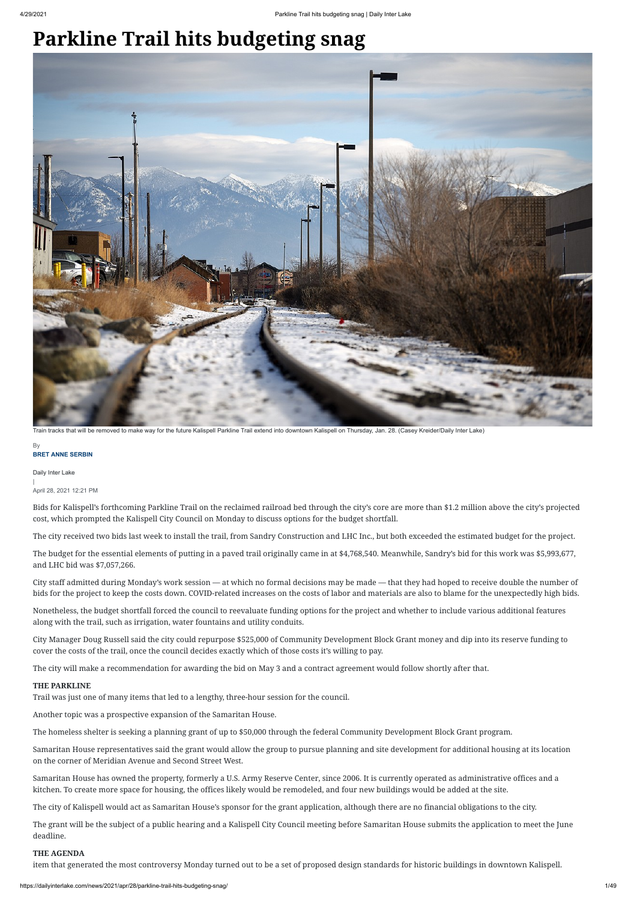#### **BRET ANNE SERBIN By**

# **Parkline Trail hits budgeting snag**

Daily Inter Lake | April 28, 2021 12:21 PM

Bids for Kalispell's forthcoming Parkline Trail on the reclaimed railroad bed through the city's core are more than \$1.2 million above the city's projected cost, which prompted the Kalispell City Council on Monday to discuss options for the budget shortfall.

The city received two bids last week to install the trail, from Sandry Construction and LHC Inc., but both exceeded the estimated budget for the project.

The budget for the essential elements of putting in a paved trail originally came in at \$4,768,540. Meanwhile, Sandry's bid for this work was \$5,993,677, and LHC bid was \$7,057,266.

City staff admitted during Monday's work session — at which no formal decisions may be made — that they had hoped to receive double the number of bids for the project to keep the costs down. COVID-related increases on the costs of labor and materials are also to blame for the unexpectedly high bids.

Nonetheless, the budget shortfall forced the council to reevaluate funding options for the project and whether to include various additional features along with the trail, such as irrigation, water fountains and utility conduits.

City Manager Doug Russell said the city could repurpose \$525,000 of Community Development Block Grant money and dip into its reserve funding to cover the costs of the trail, once the council decides exactly which of those costs it's willing to pay.

The city will make a recommendation for awarding the bid on May 3 and a contract agreement would follow shortly after that.

## **THE PARKLINE**

Trail was just one of many items that led to a lengthy, three-hour session for the council.

Another topic was a prospective expansion of the Samaritan House.

The homeless shelter is seeking a planning grant of up to \$50,000 through the federal Community Development Block Grant program.

Samaritan House representatives said the grant would allow the group to pursue planning and site development for additional housing at its location on the corner of Meridian Avenue and Second Street West.

Samaritan House has owned the property, formerly a U.S. Army Reserve Center, since 2006. It is currently operated as administrative offices and a kitchen. To create more space for housing, the offices likely would be remodeled, and four new buildings would be added at the site.

The city of Kalispell would act as Samaritan House's sponsor for the grant application, although there are no financial obligations to the city.

The grant will be the subject of a public hearing and a Kalispell City Council meeting before Samaritan House submits the application to meet the June deadline.

## **THE AGENDA**

item that generated the most controversy Monday turned out to be a set of proposed design standards for historic buildings in downtown Kalispell.



Train tracks that will be removed to make way for the future Kalispell Parkline Trail extend into downtown Kalispell on Thursday, Jan. 28. (Casey Kreider/Daily Inter Lake)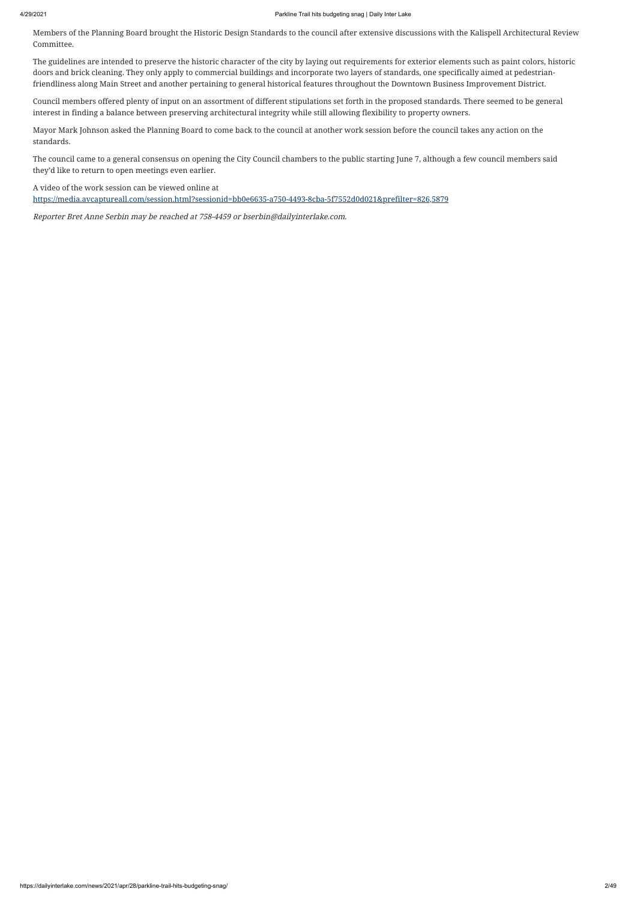Members of the Planning Board brought the Historic Design Standards to the council after extensive discussions with the Kalispell Architectural Review Committee.

The guidelines are intended to preserve the historic character of the city by laying out requirements for exterior elements such as paint colors, historic doors and brick cleaning. They only apply to commercial buildings and incorporate two layers of standards, one specifically aimed at pedestrianfriendliness along Main Street and another pertaining to general historical features throughout the Downtown Business Improvement District.

Council members offered plenty of input on an assortment of different stipulations set forth in the proposed standards. There seemed to be general interest in finding a balance between preserving architectural integrity while still allowing flexibility to property owners.

Mayor Mark Johnson asked the Planning Board to come back to the council at another work session before the council takes any action on the standards.

The council came to a general consensus on opening the City Council chambers to the public starting June 7, although a few council members said they'd like to return to open meetings even earlier.

A video of the work session can be viewed online at

<https://media.avcaptureall.com/session.html?sessionid=bb0e6635-a750-4493-8cba-5f7552d0d021&prefilter=826,5879>

Reporter Bret Anne Serbin may be reached at 758-4459 or bserbin@dailyinterlake.com.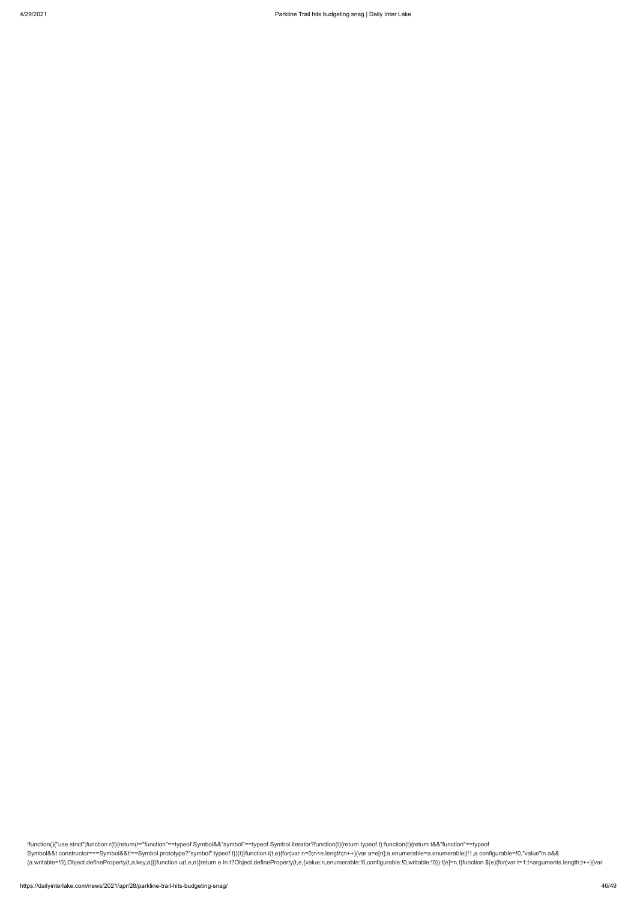!function(){"use strict";function r(t){return(r="function"==typeof Symbol&&"symbol"==typeof Symbol.iterator?function(t){return typeof t}:function(t){return t&&"function"==typeof Symbol&&t.constructor===Symbol&&t!==Symbol.prototype?"symbol":typeof t})(t)}function i(t,e){for(var n=0;n<e.length;n++){var a=e[n];a.enumerable=a.enumerable||!1,a.configurable=!0,"value"in a&& (a.writable=!0),Object.defineProperty(t,a.key,a)}}function u(t,e,n){return e in t?Object.defineProperty(t,e,{value:n,enumerable:!0,configurable:!0,writable:!0}):t[e]=n,t}function \$(e){for(var t=1;t<arguments.length;t++){var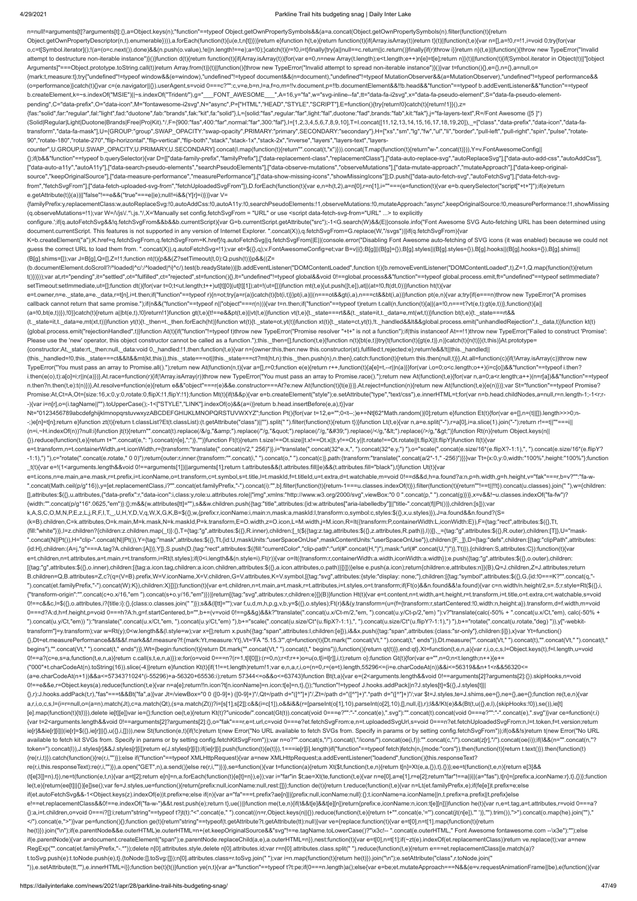### 4/29/2021 Parkline Trail hits budgeting snag | Daily Inter Lake

n=null!=arguments[t]?arguments[t]:{},a=Object.keys(n);"function"==typeof Object.getOwnPropertySymbols&&(a=a.concat(Object.getOwnPropertySymbols(n).filter(function(t){return Object.getOwnPropertyDescriptor(n,t).enumerable}))),a.forEach(function(t){u(e,t,n[t])})return e}function h(t,e){return function(t){if(Array.isArray(t))return t}(t)||function(t,e){var n=[],a=!0,r=!1,i=void 0;try{for(var o,c=t[Symbol.iterator]();!(a=(o=c.next()).done)&&(n.push(o.value),!e||n.length!==e);a=!0);}catch(t){r=!0,i=t}finally{try{a||null==c.return||c.return()}finally{ff(r)throw i}}return n}(t,e)||function(){throw new TypeError("I attempt to destructure non-iterable instance")}()}function d(t){return function(t){if(Array.isArray(t)){for(var e=0,n=new Array(t.length);e<t.length;e++)n[e]=t[e];return n}}(t)|function(t){if(Symbol.iterator in Object(t)|| Arguments]"===Object.prototype.toString.call(t))return Array.from(t)}(t)||function(){throw new TypeError("Invalid attempt to spread non-iterable instance")}()}var t=function(){},e={},n={},a=null,o= {mark:t,measure:t};try{"undefined"!=typeof window&&(e=window),"undefined"!=typeof document&&(n=document),"undefined"!=typeof MutationObserver&&(a=MutationObserver),"undefined"!=typeof performance&& (o=performance)}catch(t){}var c=(e.navigator||{}).userAgent,s=void 0===c?"":c,v=e,b=n,l=a,f=o,m=!!v.document,p=!!b.documentElement&&!!b.head&&"function"==typeof b.addEventListener&&"function"==typeof b.createElement,k=~s.indexOf("MSIE")||~s.indexOf("Trident/"),g="\_\_FONT\_AWESOME\_\_",A=16,y="fa",w="svg-inline--fa",tt="data-fa-i2svg",x="data-fa-pseudo-element",S="data-fa-pseudo-elementpending",C="data-prefix",O="data-icon",M="fontawesome-i2svg",N="async",P=["HTML","HEAD","STYLE","SCRIPT"],E=function(){try{return!0}catch(t){return!1}}(),z=

{fas:"solid",far:"regular",fal:"light",fad:"duotone",fab:"brands",fak:"kit",fa:"solid"},L={solid:"fas",regular:"far",light:"fal",duotone:"fad",brands:"fab",kit:"fak"},j="fa-layers-text",R=/Font Awesome ([5 ]\*) (Solid|Regular|Light|Duotone|Brands|Free|Pro|Kit).\*/,F={900:"fas",400:"far",normal:"far",300:"fal"},I=[1,2,3,4,5,6,7,8,9,10],T=I.concat([11,12,13,14,15,16,17,18,19,20]),\_=["class","data-prefix","data-icon","data-fatransform","data-fa-mask"],U={GROUP:"group",SWAP\_OPACITY:"swap-opacity",PRIMARY:"primary",SECONDARY:"secondary"},H=["xs","sm","lg","fw","ul","li","border","pull-left","pull-right","spin","pulse","rotate-90","rotate-180","rotate-270","flip-horizontal","flip-vertical","flip-both","stack","stack-1x","stack-2x","inverse","layers","layers-text","layers-

K=b.createElement("a");K.href=q.fetchSvgFrom,q.fetchSvgFrom=K.href}!q.autoFetchSvg||q.fetchSvgFrom||E||(console.error("Disabling Font Awesome auto-fetching of SVG icons (it was enabled) because we could not guess the correct URL to load them from. ".concat(X)),q.autoFetchSvg=!1);var et=\$({},q);v.FontAwesomeConfig=et;var B=v||{};B[g]||(B[g]={}),B[g].styles||(B[g].styles={}),B[g].hooks||(B[g].hooks={}),B[g].shims|| (B[g].shims=[]);var J=B[g],Q=[],Z=!1;function nt(t){p&&(Z?setTimeout(t,0):Q.push(t))}p&&((Z=

e=t.owner,n=e.\_state,a=e.\_data,r=t[n],i=t.then;if("function"==typeof r){n=ot;try{a=r(a)}catch(t){bt(i,t)}}pt(i,a)||(n===ot&&gt(i,a),n===ct&&bt(i,a))}function pt(e,n){var a;try{if(e===n)throw new TypeError("A promises callback cannot return that same promise.");if(n&&("function"==typeof n||"object"===r(n))){var t=n.then;if("function"==typeof t)return t.call(n,function(t){a||(a=!0,n===t?vt(e,t):gt(e,t))},function(t){a||

counter",U.GROUP,U.SWAP\_OPACITY,U.PRIMARY,U.SECONDARY].concat(I.map(function(t){return"".concat(t,"x")})).concat(T.map(function(t){return"w-".concat(t)})),Y=v.FontAwesomeConfig|| {};if(b&&"function"==typeof b.querySelector){var D=[["data-family-prefix","familyPrefix"],["data-replacement-class","replacementClass"],["data-auto-replace-svg","autoReplaceSvg"],["data-auto-add-css","autoAddCss"], ["data-auto-a11y","autoA11y"],["data-search-pseudo-elements","searchPseudoElements"],["data-observe-mutations","observeMutations"],["data-mutate-approach","mutateApproach"],["data-keep-originalsource","keepOriginalSource"],["data-measure-performance","measurePerformance"],["data-show-missing-icons","showMissingIcons"]];D.push(["data-auto-fetch-svg","autoFetchSvg"],["data-fetch-svgfrom","fetchSvgFrom"],["data-fetch-uploaded-svg-from","fetchUploadedSvgFrom"]),D.forEach(function(t){var e,n=h(t,2),a=n[0],r=n[1],i=""===(e=function(t){var e=b.querySelector("script["+t+"]");if(e)return e.getAttribute(t)}(a))||"false"!==e&&("true"===e||e);null!=i&&(Y[r]=i)})}var V=

{familyPrefix:y,replacementClass:w,autoReplaceSvg:!0,autoAddCss:!0,autoA11y:!0,searchPseudoElements:!1,observeMutations:!0,mutateApproach:"async",keepOriginalSource:!0,measurePerformance:!1,showMissing (q.observeMutations=!1);var W=/\/js\/.\*\.js.\*/,X='Manually set config.fetchSvgFrom = "URL" or use <script data-fetch-svg-from="URL" ...> to explicitly

Nt="0123456789abcdefghijklmnopqrstuvwxyzABCDEFGHIJKLMNOPQRSTUVWXYZ";function Pt(){for(var t=12,e="";0<t--;)e+=Nt[62\*Math.random()|0];return e}function Et(t){for(var e=[],n=(t||[]).length>>>0;n- -;)e[n]=t[n];return e}function zt(t){return t.classList?Et(t.classList):(t.getAttribute("class")||"").split(" ").filter(function(t){return t)}}function Lt(t,e){var n,a=e.split("-"),r=a[0],i=a.slice(1).join("-");return r!== (n=i,~H.indexOf(n))?null:i}function jt(t){return"".concat(t).replace(/&/g,"&").replace(/"/g,""").replace(//g,"'").replace(/</g,"&lt;").replace(/>/g,"&dt;"}}function Rt(n){return Object.keys(n||

configure.';if(q.autoFetchSvg&&!q.fetchSvgFrom&&b&&b.currentScript){var G=b.currentScript.getAttribute("src");-1<G.search(W)&&(E||console.info("Font Awesome SVG Auto-fetching URL has been determined using document.currentScript. This features is not supported in any version of Internet Explorer. ".concat(X)),q.fetchSvgFrom=G.replace(W,"/svgs"))}if(q.fetchSvgFrom){var

(b.documentElement.doScroll?/^loaded|^c/:/^loaded|^i|^c/).test(b.readyState))||b.addEventListener("DOMContentLoaded",function t(){b.removeEventListener("DOMContentLoaded",t),Z=1,Q.map(function(t){return t()})}));var at,rt="pending",it="settled",ot="fulfilled",ct="rejected",st=function(){},lt="undefined"!=typeof global&&void 0!==global.process&&"function"==typeof global.process.emit,ft="undefined"==typeof setImmediate? setTimeout:setImmediate,ut=[];function dt(){for(var t=0;t<ut.length;t++)ut[t][0](ut[t][1]);at=!(ut=[])}function mt(t,e){ut.push([t,e]),at||(at=!0,ft(dt,0))}function ht(t){var

(a=!0,bt(e,t))}),!0}}catch(t){return a||bt(e,t),!0}return!1}function gt(t,e){t!==e&&pt(t,e)||vt(t,e)}function vt(t,e){t.\_state===rt&&(t.\_state=it,t.\_data=e,mt(wt,t))}function bt(t,e){t.\_state===rt&&

(t.\_state=it,t.\_data=e,mt(xt,t))}function yt(t){t.\_then=t.\_then.forEach(ht)}function wt(t){t.\_state=ot,yt(t)}function xt(t){t.\_state=ct,yt(t),lt.\_handled&&lt&&global.process.emit("unhandledRejection",t.\_data,t)}function kt {global.process.emit("rejectionHandled",t)}function At(t){if("function"!=typeof t)throw new TypeError("Promise resolver "+t+" is not a function");if(this instanceof At==!1)throw new TypeError("Failed to construct 'Promise': Please use the 'new' operator, this object constructor cannot be called as a function.");this.\_then=[],function(t,e){function n(t){bt(e,t)}try{t(function(t){gt(e,t)},n)}catch(t){n(t)}}(t,this)}At.prototype= {constructor:At, state:rt, then:null, data:void 0, handled:!1,then:function(t,e){var n={owner:this,then:new this.constructor(st),fulfilled:t,rejected:e};return!e&&!t||this. handled||

(this.\_handled=!0,this.\_state===ct&&lt&&mt(kt,this)),this.\_state===ot||this.\_state===ct?mt(ht,n):this.\_then.push(n),n.then},catch:function(t){return this.then(null,t)}},At.all=function(c){if(!Array.isArray(c))throw new TypeError("You must pass an array to Promise.all().");return new At(function(n,t){var a=[],r=0;function e(e){return r++,function(t){a[e]=t,--r||n(a)}}for(var i,o=0;o<c.length;o++)(i=c[o])&&"function"==typeof i.then? i.then(e(o),t):a[o]=i;r||n(a)})},At.race=function(r){if(!Array.isArray(r))throw new TypeError("You must pass an array to Promise.race().");return new At(function(t,e){for(var n,a=0;a<r.length;a++)(n=r[a])&&"function"==type n.then?n.then(t,e):t(n)})},At.resolve=function(e){return e&&"object"===r(e)&&e.constructor===At?e:new At(function(t){t(e)})},At.reject=function(n){return new At(function(t,e){e(n)})};var St="function"==typeof Promise? Promise:At,Ct=A,Ot={size:16,x:0,y:0,rotate:0,flipX:!1,flipY:!1};function Mt(t){if(t&&p){var e=b.createElement("style");e.setAttribute("type","text/css"),e.innerHTML=t;for(var n=b.head.childNodes,a=null,r=n.length-1;-1<r;r--){var i=n[r],o=(i.tagName||"").toUpperCase();-1<["STYLE","LINK"].indexOf(o)&&(a=i)}return b.head.insertBefore(e,a),t}}var

{}).reduce(function(t,e){return t+"".concat(e,": ").concat(n[e],";")},"")}function Ft(t){return t.size!==Ot.size||t.x!==Ot.x||t.y!==Ot.y||t.rotate!==Ot.rotate||t.flipX||t.flipY}function It(t){var e=t.transform,n=t.containerWidth,a=t.iconWidth,r={transform:"translate(".concat(n/2," 256)")},i="translate(".concat(32\*e.x,", ").concat(32\*e.y,") "),o="scale(".concat(e.size/16\*(e.flipX?-1:1),", ").concat(e.size/16\*(e.flipY? -1:1),") "),c="rotate(".concat(e.rotate," 0 0)");return{outer:r,inner:{transform:"".concat(i," ").concat(o," ").concat(c)},path:{transform:"translate(".concat(a/2\*-1," -256)"}}}}var Tt={x:0,y:0,width:"100%",height:"100%"}; \_t(t){var e=!(1<arguments.length&&void 0!==arguments[1])||arguments[1];return t.attributes&&(t.attributes.fill||e)&&(t.attributes.fill="black"),t}function Ut(t){var

0!==e&&e,r=Object.keys(a).reduce(function(t,e){var n=a[e];return!!n.icon?t[n.iconName]=n.icon:t[e]=n,t},{});"function"!=typeof J.hooks.addPack||n?J.styles[t]=\$({},J.styles[t]|| {},r):J.hooks.addPack(t,r),"fas"===t&&Bt("fa",a)}var Jt=/viewBox="0 0 ([0-9]+) ([0-9]+)"/,Qt=/path d="([^"]+)"/,Zt=/path d="([^"]+)".\*path d="([^"]+)"/;var \$t=J.styles,te=J.shims,ee={},ne={},ae={};function re(t,e,n){var a,r,i,o,c,s,l=(i=r=null,o=(a=n).match(Jt),c=a.match(Qt),(s=a.match(Zt))?i=[s[1],s[2]]:c&&(i=c[1]),o&&i&&(r=[parseInt(o[1],10),parseInt(o[2],10),[],null,i]),r);l&&!Kt(e)&&(Bt(t,u({},e,l),{skipHooks:!0}),se()),ie[t] [e].map(function(t){t(l)}),delete ie[t][e]}var ie={};function oe(t,e){return Kt(t)?"unicode/".concat(Gt(t)).concat(void 0===e?"":"-".concat(e),".svg"):"".concat(toid 0===e?"":"-".concat(e),".svg")}var ce=function(r,i) {var t=2<arguments.length&&void 0!==arguments[2]?arguments[2]:{},o="fak"===r,e=t.url,c=void 0===e?et.fetchSvgFrom:e,n=t.uploadedSvgUrl,s=void 0===n?et.fetchUploadedSvgFrom:n,l=t.token,f=t.version;return ie[r]&&ie[r][i]]|(ie[r]=\$({},ie[r]||{},u({},i,[]))),new St(function(e,t){if(!c)return t(new Error("No URL available to fetch SVGs from. Specify in params or by setting config.fetchSvgFrom"));if(o&&!s)return t(new Error("No available to fetch kit SVGs from. Specify in params or by setting config.fetchKitSvgFrom"));var n=o?"".concat(s,"/").concat(l,"/icons/").concat(oe(i,f)):"".concat(c,"/").concat(z[r],"/").concat(oe(i));if(l&&(n="".concat(n, token=").concat(l)),J.styles[r]&&J.styles[r][i])return e(J.styles[r][i]);if(ie[r][i].push(function(t){e(t)}),1===ie[r][i].length)if("function"==typeof fetch)fetch(n,{mode:"cors"}).then(function(t){return t.text()}).then(fu {re(r,i,t)}).catch(function(){re(r,i,"")});else if("function"==typeof XMLHttpRequest){var a=new XMLHttpRequest;a.addEventListener("loadend",function(){this.responseText? re(r,i,this.responseText):re(r,i,"")}),a.open("GET",n),a.send()}else re(r,i,"")})},se=function(){var t=function(a){return Xt(\$t,function(t,e,n){return t[n]=Xt(e,a,{}),t},{})};ee=t(function(t,e,n){return e[3]&& (t[e[3]]=n),t}),ne=t(function(e,t,n){var a=t[2];return e[n]=n,a.forEach(function(t){e[t]=n}),e});var i="far"in \$t;ae=Xt(te,function(t,e){var n=e[0],a=e[1],r=e[2];return"far"!==a||i||(a="fas"),t[n]={prefix:a,iconName:r},t}, le(t,e){return(ee[t]||{})[e]}se();var fe=J.styles,ue=function(){return{prefix:null,iconName:null,rest:[]}};function de(t){return t.reduce(function(t,e){var n=Lt(et.familyPrefix,e);if(fe[e])t.prefix=e;else if(et.autoFetchSvg&&-1<Object.keys(z).indexOf(e))t.prefix=e;else if(n){var a="fa"===t.prefix?ae[n]||{prefix:null,iconName:null}:{};t.iconName=a.iconName||n,t.prefix=a.prefix||t.prefix}else e!==et.replacementClass&&0!==e.indexOf("fa-w-")&&t.rest.push(e);return t},ue())}function me(t,e,n){if(t&&t[e]&&t[e][n])return{prefix:e,iconName:n,icon:t[e][n]}}function he(t){var n,e=t.tag,a=t.attributes,r=void 0===a? {}:a,i=t.children,o=void 0===i?[]:i;return"string"==typeof t?jt(t):"<".concat(e," ").concat((n=r,Object.keys(n||{}).reduce(function(t,e){return t+"".concat(e,=").concat(jt(n[e]),"')},"").trim()),">").concat(o.map(he).join( </").concat(e,">")}var pe=function(){};function ge(t){return"string"==typeof(t.getAttribute?t.getAttribute(tt):null)}var ve={replace:function(t){var e=t[0],n=t[1].map(function(t){return he(t)}).join("\n");if(e.parentNode&&e.outerHTML)e.outerHTML=n+(et.keepOriginalSource&&"svg"!==e.tagName.toLowerCase()?"\x3c!-- ".concat(e.outerHTML," Font Awesome fontawesome.com --\x3e"):"");else if(e.parentNode){var a=document.createElement("span");e.parentNode.replaceChild(a,e),a.outerHTML=n}},nest:function(t){var e=t[0],n=t[1];if(~zt(e).indexOf(et.replacementClass))return ve.replace(t);var a=new RegExp("".concat(et.familyPrefix,"-.\*"));delete n[0].attributes.style,delete n[0].attributes.id;var r=n[0].attributes.class.split(" ").reduce(function(t,e){return e===et.replacementClass||e.match(a)? t.toSvg.push(e):t.toNode.push(e),t},{toNode:[],toSvg:[]});n[0].attributes.class=r.toSvg.join(" ");var i=n.map(function(t){return he(t)}).join("\n");e.setAttribute("class",r.toNode.join(" ")),e.setAttribute(tt,""),e.innerHTML=i}};function be(t){t()}function ye(n,t){var a="function"==typeof t?t:pe;if(0===n.length)a();else{var e=be;et.mutateApproach===N&&(e=v.requestAnimationFrame||be),e(function(){var

e=t.icons,n=e.main,a=e.mask,r=t.prefix,i=t.iconName,o=t.transform,c=t.symbol,s=t.title,l=t.maskId,f=t.titleId,u=t.extra,d=t.watchable,m=void 0!==d&&d,h=a.found?a:n,p=h.width,g=h.height,v="fak"===r,b=v?"":"fa-w- ".concat(Math.ceil(p/g\*16)),y=[et.replacementClass,i?"".concat(et.familyPrefix,"-").concat(i):"",b].filter(function(t){return-1===u.classes.indexOf(t)}).filter(function(t){return"!==t|!!!!}).concat(u.classes).join(""),w={c [],attributes:\$({},u.attributes,{"data-prefix":r,"data-icon":i,class:y,role:u.attributes.role||"img",xmlns:"http://www.w3.org/2000/svg",viewBox:"0 0 ".concat(p," ").concat(g)})},x=v&&!~u.classes.indexOf("fa-fw")? {width:"".concat(p/g\*16\*.0625,"em")}:{};m&&(w.attributes[tt]=""),s&&w.children.push({tag:"title",attributes:{id:w.attributes["aria-labelledby"]||"title-".concat(f||Pt())},children:[s]});var

k,A,S,C,O,M,N,P,E,z,L,j,R,F,I,T,\_,U,H,Y,D,V,q,W,X,G,K,B=\$({},w,{prefix:r,iconName:i,main:n,mask:a,maskId:l,transform:o,symbol:c,styles:\$({},x,u.styles)}),J=a.found&&n.found?(S=

(k=B).children,C=k.attributes,O=k.main,M=k.mask,N=k.maskId,P=k.transform,E=O.width,z=O.icon,L=M.width,j=M.icon,R=It({transform:P,containerWidth:L,iconWidth:E}),F={tag:"rect",attributes:\$({},Tt, {fill:"white"})},l=z.children?{children:z.children.map(\_t)}:{},T={tag:"g",attributes:\$({},R.inner),children:[\_t(\$({tag:z.tag,attributes:\$({},2.attributes,R.path)},l))]},\_={tag:"g",attributes:\$({},R.outer),children:[T]},U=" ".concat(N||Pt()),H="clip-".concat(N||Pt()),Y={tag:"mask",attributes:\$({},Tt,{id:U,maskUnits:"userSpaceOnUse",maskContentUnits:"userSpaceOnUse"}),children:[F,\_]},D={tag:"defs",children:[{tag:"clipPath",attributes:\$({},Tt,{ {id:H},children:(A=j,"g"===A.tag?A.children:[A])},Y]},S.push(D,{tag:"rect",attributes:\$({fill:"currentColor","clip-path":"url(#".concat(H,")"),mask:"url(#".concat(U,")")},Tt)}),{children:S,attributes:C}):function(t){var e=t.children,n=t.attributes,a=t.main,r=t.transform,i=Rt(t.styles);if(0<i.length&&(n.style=i),Ft(r)){var o=It({transform:r,containerWidth:a.width,iconWidth:a.width});e.push({tag:"g",attributes:\$({},o.outer),children: [{tag:"g",attributes:\$({},o.inner),children:[{tag:a.icon.tag,children:a.icon.children,attributes:\$({},a.icon.attributes,o.path)}]}]})}else e.push(a.icon);return{children:e,attributes:n}}(B),Q=J.children,Z=J.attributes;return B.children=Q,B.attributes=Z,c?(q=(V=B).prefix,W=V.iconName,X=V.children,G=V.attributes,K=V.symbol,[{tag:"svg",attributes:{style:"display: none;"},children:[{tag:"symbol",attributes:\$({},G,{id:!0===K?"".concat(q,"- ").concat(et.familyPrefix,"-").concat(W):K}),children:X}}})):function(t){var e=t.children,n=t.main,a=t.mask,r=t.attributes,i=t.styles,o=t.transform;if(Ft(o)&&n.found&&!a.found){var c=n.width/n.height/2,s=.5;r.style=Rt(\${{} {"transform-origin":"".concat(c+o.x/16,"em ").concat(s+o.y/16,"em")}))}return[{tag:"svg",attributes:r,children:e}]}(B)}function Ht(t){var e=t.content,n=t.width,a=t.height,r=t.transform,i=t.title,o=t.extra,c=t.watchable,s=v 0!==c&&c,l=\$({},o.attributes,i?{title:i}:{},{class:o.classes.join(" ")});s&&(l[tt]="");var f,u,d,m,h,p,g,v,b,y=\$({},o.styles);Ft(r)&&(y.transform=(u=(f={transform:r,startCentered:!0,width:n,height:a}).transform,d=f.width,m 0===d?A:d,h=f.height,p=void 0===h?A:h,g=f.startCentered,b="",b+=(v=void 0!==g&&g)&&k?"translate(".concat(u.x/Ct-m/2,"em, ").concat(u.y/Ct-p/2,"em) "):v?"translate(calc(-50% + ".concat(u.x/Ct,"em), calc(-50% + ").concat(u.y/Ct,"em)) "):"translate(".concat(u.x/Ct,"em, ").concat(u.y/Ct,"em) "),b+="scale(".concat(u.size/Ct\*(u.flipX?-1:1),", ").concat(u.size/Ct\*(u.flipY?-1:1),") "),b+="rotate(".concat(u.rotate,"deg) ")),y["-webkittransform"]=y.transform);var w=Rt(y);0<w.length&&(l.style=w);var x=[];return x.push({tag:"span",attributes:l,children:[e]}),i&&x.push({tag:"span",attributes:{class:"sr-only"},children:[i]}),x}var Yt=function() {},Dt=et.measurePerformance&&f&&f.mark&&f.measure?f:{mark:Yt,measure:Yt},Vt='FA "5.15.3"',qt=function(t){Dt.mark("".concat(Vt," ").concat(t," ends")),Dt.measure("".concat(Vt," ").concat(t),"".concat(Vt," ").concat(t," begins"),"".concat(Vt," ").concat(t," ends"))},Wt={begin:function(t){return Dt.mark("".concat(Vt," ").concat(t," begins")),function({feturn qt(t)}},end:qt},Xt=function(t,e,n,a){var r,i,o,c,s,l=Object.keys(t),f=l.length,u=v 0!==a?(c=e,s=a,function(t,e,n,a){return c.call(s,t,e,n,a)}):e;for(o=void 0===n?(r=1,t[l[0]]):(r=0,n);r<f;r++)o=u(o,t[i=l[r]],i,t);return o};function Gt(t){for(var e="",n=0;n<t.length;n++){e+= ("000"+t.charCodeAt(n).toString(16)).slice(-4)}return e}function Kt(t){if(1!==t.length)return!1;var e,n,a,r,i,o=(n=0,r=(e=t).length,55296<=(i=e.charCodeAt(n))&&i<=56319&&n+1<r&&56320<= (a=e.charCodeAt(n+1))&&a<=57343?1024\*(i-55296)+a-56320+65536:i);return 57344<=o&&o<=63743}function Bt(t,a){var e=(2<arguments.length&&void 0!==arguments[2]?arguments[2]:{}).skipHooks,n=void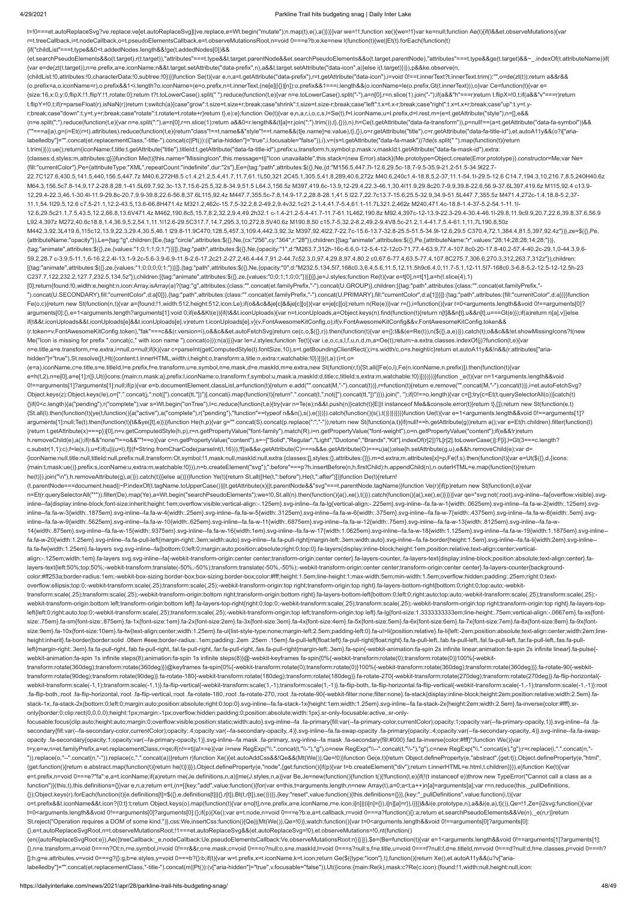4/29/2021 Parkline Trail hits budgeting snag | Daily Inter Lake t=!0===et.autoReplaceSvg?ve.replace:ve[et.autoReplaceSvg]||ve.replace,e=Wt.begin("mutate");n.map(t),e(),a()})}}var we=!1;function xe(){we=!1}var ke=null;function Ae(t){if(l&&et.observeMutations){var r=t.treeCallback,i=t.nodeCallback,o=t.pseudoElementsCallback,e=t.observeMutationsRoot,n=void 0===e?b:e;ke=new l(function(t){we||Et(t).forEach(function(t) {if("childList"===t.type&&0<t.addedNodes.length&&!ge(t.addedNodes[0])&& (et.searchPseudoElements&&o(t.target),r(t.target)),"attributes"===t.type&&t.target.parentNode&&et.searchPseudoElements&&o(t.target.parentNode),"attributes"===t.type&&ge(t.target)&&~\_.indexOf(t.attributeName))if( {var e=de(zt(t.target)),n=e.prefix,a=e.iconName;n&&t.target.setAttribute("data-prefix",n),a&&t.target.setAttribute("data-icon",a)}else i(t.target)})}),p&&ke.observe(n, {childList:!0,attributes:!0,characterData:!0,subtree:!0})}}function Se(t){var e,n,a=t.getAttribute("data-prefix"),r=t.getAttribute("data-icon"),i=void 0!==t.innerText?t.innerText.trim():"",o=de(zt(t));return a&&r&& (o.prefix=a,o.iconName=r),o.prefix&&1<i.length?o.iconName=(e=o.prefix,n=t.innerText,(ne[e]||{})[n]):o.prefix&&1===i.length&&(o.iconName=le(o.prefix,Gt(t.innerText))),o}var Ce=function(t){var e= {size:16,x:0,y:0,flipX:!1,flipY:!1,rotate:0};return t?t.toLowerCase().split(" ").reduce(function(t,e){var n=e.toLowerCase().split("-"),a=n[0],r=n.slice(1).join("-");if(a&&"h"===r)return t.flipX=!0,t;if(a&&"v"===r)return t.flipY=!0,t;if(r=parseFloat(r),isNaN(r))return t;switch(a){case"grow":t.size=t.size+r;break;case"shrink":t.size=t.size-r;break;case"left":t.x=t.x-r;break;case"right":t.x=t.x+r;break;case"up":t.y=t.yr;break;case"down":t.y=t.y+r;break;case"rotate":t.rotate=t.rotate+r}return t},e):e};function Oe(t){var e,n,a,r,i,o,c,s,l=Se(t),f=l.iconName,u=l.prefix,d=l.rest,m=(e=t.getAttribute("style"),n=[],e&& (n=e.split(";").reduce(function(t,e){var n=e.split(":"),a=n[0],r=n.slice(1);return a&&0<r.length&&(t[a]=r.join(":").trim()),t},{})),n),h=Ce(t.getAttribute("data-fa-transform")),p=null!==(a=t.getAttribute("data-fa-symbol"))&& (""===a||a),g=(i=Et((r=t).attributes).reduce(function(t,e){return"class"!==t.name&&"style"!==t.name&&(t[e.name]=e.value),t},{}),o=r.getAttribute("title"),c=r.getAttribute("data-fa-title-id"),et.autoA11y&&(o?i["arialabelledby"]="".concat(et.replacementClass,"-title-").concat(c||Pt()):(i["aria-hidden"]="true",i.focusable="false")),i),v=(s=t.getAttribute("data-fa-mask"))?de(s.split(" ").map(function(t){return t.trim()})):ue();return{iconName:f,title:t.getAttribute("title"),titleId:t.getAttribute("data-fa-title-id"),prefix:u,transform:h,symbol:p,mask:v,maskId:t.getAttribute("data-fa-mask-id"),extra: {classes:d,styles:m,attributes:g}}}function Me(t){this.name="MissingIcon",this.message=t||"Icon unavailable",this.stack=(new Error).stack}(Me.prototype=Object.create(Error.prototype)).constructor=Me;var Ne= {fill:"currentColor"},Pe={attributeType:"XML",repeatCount:"indefinite",dur:"2s"},Ee={tag:"path",attributes:\$({},Ne,{d:"M156.5,447.7l-12.6,29.5c-18.7-9.5-35.9-21.2-51.5-34.9l22.7- 22.7C127.6,430.5,141.5,440,156.5,447.7z M40.6,272H8.5 c1.4,21.2,5.4,41.7,11.7,61.1L50,321.2C45.1,305.5,41.8,289,40.6,272z M40.6,240c1.4-18.8,5.2-37,11.1-54.1l-29.5-12.6 C14.7,194.3,10,216.7,8.5,240H40.6z M64.3,156.5c7.8-14.9,17.2-28.8,28.1-41.5L69.7,92.3c-13.7,15.6-25.5,32.8-34.9,51.5 L64.3,156.5z M397,419.6c-13.9,12-29.4,22.3-46.1,30.4l11.9,29.8c20.7-9.9,39.8-22.6,56.9-37.6L397,419.6z M115,92.4 c13.9- 12,29.4-22.3,46.1-30.4l-11.9-29.8c-20.7,9.9-39.8,22.6-56.8,37.6L115,92.4z M447.7,355.5c-7.8,14.9-17.2,28.8-28.1,41.5 l22.7,22.7c13.7-15.6,25.5-32.9,34.9-51.5L447.7,355.5z M471.4,272c-1.4,18.8-5.2,37- 11.1,54.1l29.5,12.6 c7.5-21.1,12.2-43.5,13.6-66.8H471.4z M321.2,462c-15.7,5-32.2,8.2-49.2,9.4v32.1c21.2-1.4,41.7-5.4,61.1-11.7L321.2,462z M240,471.4c-18.8-1.4-37-5.2-54.1-11.1l-12.6,29.5c21.1,7.5,43.5,12.2,66.8,13.6V471.4z M462,190.8c5,15.7,8.2,32.2,9.4,49.2h32.1 c-1.4-21.2-5.4-41.7-11.7-61.1L462,190.8z M92.4,397c-12-13.9-22.3-29.4-30.4-46.1l-29.8,11.9c9.9,20.7,22.6,39.8,37.6,56.9 L92.4,397z M272,40.6c18.8,1.4,36.9,5.2,54.1,11.1l12.6-29.5C317.7,14.7,295.3,10,272,8.5V40.6z M190.8,50 c15.7-5,32.2-8.2,49.2-9.4V8.5c-21.2,1.4-41.7,5.4-61.1,11.7L190.8,50z M442.3,92.3L419.6,115c12,13.9,22.3,29.4,30.5,46.1 l29.8-11.9C470,128.5,457.3,109.4,442.3,92.3z M397,92.4l22.7-22.7c-15.6-13.7-32.8-25.5-51.5-34.9l-12.6,29.5 C370.4,72.1,384.4,81.5,397,92.4z"})},ze=\$({},Pe, {attributeName:"opacity"}),Le={tag:"g",children:[Ee,{tag:"circle",attributes:\$({},Ne,{cx:"256",cy:"364",r:"28"}),children:[{tag:"animate",attributes:\$({},Pe,{attributeName:"r",values:"28;14;28;28;14;28;"})}, {tag:"animate",attributes:\$({},ze,{values:"1;0;1;1;0;1;"})}]},{tag:"path",attributes:\$({},Ne,{opacity:"1",d:"M263.7,312h-16c-6.6,0-12-5.4-12-12c0-71,77.4-63.9,77.4-107.8c0-20-17.8-40.2-57.4-40.2c-29.1,0-44.3,9.6- 59.2,28.7 c-3.9,5-11.1,6-16.2,2.4l-13.1-9.2c-5.6-3.9-6.9-11.8-2.6-17.2c21.2-27.2,46.4-44.7,91.2-44.7c52.3,0,97.4,29.8,97.4,80.2 c0,67.6-77.4,63.5-77.4,107.8C275.7,306.6,270.3,312,263.7,312z"}),children: [{tag:"animate",attributes:\$({},ze,{values:"1;0;0;0;0;1;"})}]},{tag:"path",attributes:\$({},Ne,{opacity:"0",d:"M232.5,134.5l7,168c0.3,6.4,5.6,11.5,12,11.5h9c6.4,0,11.7-5.1,12-11.5l7-168c0.3-6.8-5.2-12.5-12-12.5h-23 C237.7,122,232.2,127.7,232.5,134.5z"}),children:[{tag:"animate",attributes:\$({},ze,{values:"0;0;1;1;0;0;"})}]}]},je=J.styles;function Re(t){var e=t[0],n=t[1],a=h(t.slice(4),1) [0];return{found:!0,width:e,height:n,icon:Array.isArray(a)?{tag:"g",attributes:{class:"".concat(et.familyPrefix,"-").concat(U.GROUP)},children:[{tag:"path",attributes:{class:"".concat(et.familyPrefix,"- ").concat(U.SECONDARY),fill:"currentColor",d:a[0]}},{tag:"path",attributes:{class:"".concat(et.familyPrefix,"-").concat(U.PRIMARY),fill:"currentColor",d:a[1]}}]}:{tag:"path",attributes:{fill:"currentColor",d:a}}}}function Fe(o,c){return new St(function(n,t){var a={found:!1,width:512,height:512,icon:Le};if(o&&c&&je[c]&&je[c][o]){var e=je[c][o];return n(Re(e))}var r={},i=function(){var t=0<arguments.length&&void 0!==arguments[0]? arguments[0]:{},e=1<arguments.length?arguments[1]:void 0;if(e&&Kt(e)){if(t&&t.iconUploads){var n=t.iconUploads,a=Object.keys(n).find(function(t){return n[t]&&n[t].u&&n[t].u===Gt(e)});if(a)return n[a].v}}else if(t&&t.iconUploads&&t.iconUploads[e]&&t.iconUploads[e].v)return t.iconUploads[e].v}(v.FontAwesomeKitConfig,o);if(v.FontAwesomeKitConfig&&v.FontAwesomeKitConfig.token&& (r.token=v.FontAwesomeKitConfig.token),"fak"===c&&(r.version=i),o&&c&&et.autoFetchSvg)return ce(c,o,\$({},r)).then(function(t){var e={};t&&(e=Re(t)),n(\$({},a,e))}).catch(t);o&&c&&!et.showMissingIcons?t(new Me("Icon is missing for prefix ".concat(c," with icon name ").concat(o))):n(a)})}var le=J.styles;function Te(t){var i,e,o,c,s,l,f,u,n,d,m,a=Oe(t);return~a.extra.classes.indexOf(j)?function(t,e){var n=e.title,a=e.transform,r=e.extra,i=null,o=null;if(k){var c=parseInt(getComputedStyle(t).fontSize,10),s=t.getBoundingClientRect();i=s.width/c,o=s.height/c}return et.autoA11y&&!n&&(r.attributes["ariahidden"]="true"),St.resolve([t,Ht({content:t.innerHTML,width:i,height:o,transform:a,title:n,extra:r,watchable:!0})])}(t,a):(i=t,o= (e=a).iconName,c=e.title,s=e.titleId,l=e.prefix,f=e.transform,u=e.symbol,n=e.mask,d=e.maskId,m=e.extra,new St(function(r,t){St.all([Fe(o,l),Fe(n.iconName,n.prefix)]).then(function(t){var e=h(t,2),n=e[0],a=e[1];r([i,Ut({icons:{main:n,mask:a},prefix:l,iconName:o,transform:f,symbol:u,mask:a,maskId:d,title:c,titleId:s,extra:m,watchable:!0})])})}))}function \_e(t){var n=1<arguments.length&&void 0!==arguments[1]?arguments[1]:null;if(p){var e=b.documentElement.classList,a=function(t){return e.add("".concat(M,"-").concat(t))},r=function(t){return e.remove("".concat(M,"-").concat(t)},r=function(t){return e.remove("". Object.keys(z):Object.keys(le),o=[".".concat(j,":not([").concat(tt,"])")].concat(i.map(function(t){return".".concat(t,":not([").concat(tt,"])")}).join(", ");if(0!==o.length){var c=[];try{c=Et(t.querySelectorAll(o))}catch(t {}if(0<c.length){a("pending"),r("complete");var s=Wt.begin("onTree"),l=c.reduce(function(t,e){try{var n=Te(e);n&&t.push(n)}catch(t){E||t instanceof Me&&console.error(t)}return t},[]);return new St(function(e,t) {St.all(l).then(function(t){ye(t,function(){a("active"),a("complete"),r("pending"),"function"==typeof n&&n(),s(),e()})}).catch(function(){s(),t()})})}}}}function Ue(t){var e=1<arguments.length&&void 0!==arguments[1]? arguments[1]:null;Te(t).then(function(t){t&&ye([t],e)})}function He(h,p){var g="".concat(S).concat(p.replace(":","-"));return new St(function(a,t){if(null!==h.getAttribute(g))return a();var e=Et(h.children).filter(function {return t.getAttribute(x)===p})[0],n=v.getComputedStyle(h,p),r=n.getPropertyValue("font-family").match(R),i=n.getPropertyValue("font-weight"),o=n.getPropertyValue("content");if(e&&!r)return h.removeChild(e),a();if(r&&"none"!==o&&""!==o){var c=n.getPropertyValue("content"),s=~["Solid","Regular","Light","Duotone","Brands","Kit"].indexOf(r[2])?L[r[2].toLowerCase()]:F[i],l=Gt(3===c.length? c.substr(1,1):c),f=le(s,l),u=f;if(u||(u=l),f||(f=String.fromCharCode(parseInt(l,16))),!f||e&&e.getAttribute(C)===s&&e.getAttribute(O)===u)a();else{h.setAttribute(g,u),e&&h.removeChild(e);var d= {iconName:null,title:null,titleId:null,prefix:null,transform:Ot,symbol:!1,mask:null,maskId:null,extra:{classes:[],styles:{},attributes:{}}},m=d.extra;m.attributes[x]=p,Fe(f,s).then(function(t){var e=Ut(\$({},d,{icons: {main:t,mask:ue()},prefix:s,iconName:u,extra:m,watchable:!0})),n=b.createElement("svg");":before"===p?h.insertBefore(n,h.firstChild):h.appendChild(n),n.outerHTML=e.map(function(t){return he(t)}).join("\n"),h.removeAttribute(g),a()}).catch(t)}}else a()})}function Ye(t){return St.all([He(t,":before"),He(t,":after")])}function De(t){return! (t.parentNode===document.head||~P.indexOf(t.tagName.toUpperCase())||t.getAttribute(x)||t.parentNode&&"svg"===t.parentNode.tagName)}function Ve(r){if(p)return new St(function(t,e){var n=Et(r.querySelectorAll("\*")).filter(De).map(Ye),a=Wt.begin("searchPseudoElements");we=!0,St.all(n).then(function(){a(),xe(),t()}).catch(function(){a(),xe(),e()}}})}var qe="svg:not(:root).svg-inline--fa{overflow:visible}.s inline--fa{display:inline-block;font-size:inherit;height:1em;overflow:visible;vertical-align:-.125em}.svg-inline--fa.fa-lg{vertical-align:-.225em}.svg-inline--fa.fa-w-1{width:.0625em}.svg-inline--fa.fa-w-2{width:.125em}.sv inline--fa.fa-w-3{width:.1875em}.svg-inline--fa.fa-w-4{width:.25em}.svg-inline--fa.fa-w-5{width:.3125em}.svg-inline--fa.fa-w-6{width:.375em}.svg-inline--fa.fa-w-7{width:.4375em}.svg-inline--fa.fa-w-8{width:.5em}.svg-inline inline--fa.fa-w-9{width:.5625em}.svg-inline--fa.fa-w-10{width:.625em}.svg-inline--fa.fa-w-11{width:.6875em}.svg-inline--fa.fa-w-12{width:.75em}.svg-inline--fa.fa-w-12{width:.75em}.svg-inline--fa.fa-w-13{width:.8125em}.svg-14{width:.875em}.svg-inline--fa.fa-w-15{width:.9375em}.svg-inline--fa.fa-w-16{width:1em}.svg-inline--fa.fa-w-17{width:1.0625em}.svg-inline--fa.fa-w-18{width:1.125em}.svg-inline--fa.fa-w-19{width:1.1875em}.svg-inline- fa.fa-w-20{width:1.25em}.svg-inline--fa.fa-pull-left{margin-right:.3em;width:auto}.svg-inline--fa.fa-pull-right{margin-left:.3em;width:auto}.svg-inline--fa.fa-border{height:1.5em}.svg-inline--fa.fa-li{width:2em}.svg-inline- fa.fa-fw{width:1.25em}.fa-layers svg.svg-inline--fa{bottom:0;left:0;margin:auto;position:absolute;right:0;top:0}.fa-layers{display:inline-block;height:1em;position:relative;text-align:center;verticalalign:-.125em;width:1em}.fa-layers svg.svg-inline--fa{-webkit-transform-origin:center center;transform-origin:center center}.fa-layers-counter,.fa-layers-text{display:inline-block;position:absolute;text-align:center}.fa-

transform:scale(.25);transform:scale(.25);-webkit-transform-origin:bottom right;transform-origin:bottom right}.fa-layers-bottom-left{bottom:0;left:0;right:auto;top:auto;-webkit-transform:scale(.25);transform:scale(.25); webkit-transform-origin:bottom left;transform-origin:bottom left}.fa-layers-top-right{right:0;top:0;-webkit-transform:scale(.25);transform:scale(.25);-webkit-transform-origin:top right;transform-origin:top right}.fa-layers left{left:0;right:auto;top:0;-webkit-transform:scale(.25);transform:scale(.25);-webkit-transform-origin:top left;transform-origin:top left}.fa-lg{font-size:1.33333333333339m;line-height:.75em;vertical-align:-.0667em}.fa-xs size:.75em}.fa-sm{font-size:.875em}.fa-1x{font-size:1em}.fa-2x{font-size:2em}.fa-3x{font-size:3em}.fa-4x{font-size:4em}.fa-5x{font-size:5em}.fa-6x{font-size:6em}.fa-7x{font-size:7em}.fa-8x{font-size:8em}.fa-9x{fontsize:9em}.fa-10x{font-size:10em}.fa-fw{text-align:center;width:1.25em}.fa-ul{list-style-type:none;margin-left:2.5em;padding-left:0}.fa-ul>li{position:relative}.fa-li{left:-2em;position:absolute;text-align:center;width:2em; height:inherit}.fa-border{border:solid .08em #eee;border-radius:.1em;padding:.2em .25em .15em}.fa-pull-left{float:left}.fa-pull-right{float:right}.fa.fa-pull-left,.fab.fa-pull-left,.fal.fa-pull-left,.far.fa-pull-left,.fas. -left{margin-right:.3em}.fa.fa-pull-right,.fab.fa-pull-right,.fal.fa-pull-right,.far.fa-pull-right,.far.fa-pull-right,.fas.fa-pull-right(nargin-left:.3em}.fa-spin{-webkit-animation:fa-spin 2s infinite linear;animation:fa-s webkit-animation:fa-spin 1s infinite steps(8);animation:fa-spin 1s infinite steps(8)}@-webkit-keyframes fa-spin{0%{-webkit-transform:rotate(0);transform:rotate(0)}100%{-webkit-

webkit-transform:scale(-1,1);transform:scale(-1,1)}.fa-flip-vertical{-webkit-transform:scale(1,-1);transform:scale(1,-1)}.fa-flip-both,.fa-flip-both,da-flip-bothding-flip-vertical{-webkit-transform:scale(-1,-1)}:root .fa-flip-vertical,:root .fa-flip-vertical,:root .fa-flip-vertical,:root .fa-rotate-180,:root .fa-rotate-270,:root .fa-rotate-290,-root .fa-rotate-270,:root .fa-rotate-270,:root .fa-rotate-90{-webkit-filter:none;filter:none stack-1x,.fa-stack-2x{bottom:0;left:0;margin:auto;position:absolute;right:0;top:0}.svg-inline--fa.fa-stack-1x{height:1em;width:1.25em}.svg-inline--fa.fa-stack-2x{height:2em;width:2.5em}.fa-inverse{color:#fff}.sronly{border:0;clip:rect(0,0,0,0);height:1px;margin:-1px;overflow:hidden;padding:0;position:absolute;width:1px}.sr-only-focusable:active,.sr-only-

focusable:focus{clip:auto;height:auto;margin:0;overflow:visible;position:static;width:auto}.svg-inline--fa .fa-primary{fill:var(--fa-primary-color,currentColor);opacity:1;opacity:1-ra-primary-opacity,1)}.svg-inline--fa .fa secondary{fill:var(--fa-secondary-color,currentColor);opacity:.4;opacity:var(--fa-secondary-opacity,.4)}.svg-inline--fa.fa-swap-opacity .fa-primary{opacity:.4;opacity:var(--fa-secondary-opacity.a;opacity:var(--fa-secondary opacity .fa-secondary{opacity:1;opacity:var(--fa-primary-opacity,1)}.svg-inline--fa mask .fa-primary,.svg-inline--fa mask .fa-secondary{fill:#000}.fad.fa-inverse{color:#fff}";function We(){var t=y,e=w,n=et.familyPrefix,a=et.replacementClass,r=qe;if(n!==t||a!==e){var i=new RegExp("\\.".concat(t,"\\-"),"g"),o=new RegExp("\\--".concat(t,"\\-"),"g"),c=new RegExp("\\.".concat(e),"g");r=r.replace(i,".".concat(n,"- ")).replace(o,"--".concat(n,"-")).replace(c,".".concat(a))}return r}function Xe(){et.autoAddCss&&!Qe&&(Mt(We()),Qe=!0)}function Ge(e,t){return Object.defineProperty(e,"abstract",{get:t}),Object.defineProperty(e,"html", {get:function(){return e.abstract.map(function(t){return he(t)})}}),Object.defineProperty(e,"node",{get:function(){if(p){var t=b.createElement("div");return t.innerHTML=e.html,t.children}}}),e}function Ke(t){var e=t.prefix,n=void 0===e?"fa":e,a=t.iconName;if(a)return me(Je.definitions,n,a)||me(J.styles,n,a)}var Be,Je=new(function(){function t(){!function(t,e){if(!(t instanceof e))throw new TypeError("Cannot call a class as a function")}(this,t),this.definitions={}}var e,n,a;return e=t,(n=[{key:"add",value:function(){for(var e=this,t=arguments.length,n=new Array(t),a=0;a<t;a++)n[a]=arguments[a];var r=n.reduce(this.\_pullDefinitions, {});Object.keys(r).forEach(function(t){e.definitions[t]=\$({},e.definitions[t]||{},r[t]),Bt(t,r[t]),se()})}},{key:"reset",value:function(){this.definitions={}}},{key:"\_pullDefinitions",value:function(i,t){var o=t.prefix&&t.iconName&&t.icon?{0:t}:t;return Object.keys(o).map(function(t){var e=o[t],n=e.prefix,a=e.iconName,r=e.icon;i[n]||(i[n]={}),i[n][a]=r}),i}}])&&i(e.prototype,n),a&&i(e,a),t}()),Qe=!1,Ze={i2svg:function(){var t=0<arguments.length&&void 0!==arguments[0]?arguments[0]:{};if(p){Xe();var e=t.node,n=void 0===e?b:e,a=t.callback,r=void 0===a?function(){}:a;return et.searchPseudoElements&&Ve(n),\_e(n,r)}return St.reject("Operation requires a DOM of some kind.")},css:We,insertCss:function(){Qe||(Mt(We()),Qe=!0)},watch:function(){var t=0<arguments.length&&void 0!==arguments[0]?arguments[0]: {},e=t.autoReplaceSvgRoot,n=t.observeMutationsRoot;!1===et.autoReplaceSvg&&(et.autoReplaceSvg=!0),et.observeMutations=!0,nt(function() {en({autoReplaceSvgRoot:e}),Ae({treeCallback:\_e,nodeCallback:Ue,pseudoElementsCallback:Ve,observeMutationsRoot:n})})}},\$e=(Be=function(t){var e=1<arguments.length&&void 0!==arguments[1]?arguments[1]: {},n=e.transform,a=void 0===n?Ot:n,r=e.symbol,i=void 0!==r&&r,o=e.mask,c=void 0===o?null:o,s=e.maskId,l=void 0===s?null:s,f=e.title,u=void 0===f?null:f,d=e.titleId,m=void 0===d?null:d,h=e.classes,p=void 0===h? []:h,g=e.attributes,v=void 0===g?{}:g,b=e.styles,y=void 0===b?{}:b;if(t){var w=t.prefix,x=t.iconName,k=t.icon;return Ge(\$({type:"icon"},t),function(){return Xe(),et.autoA11y&&(u?v["arialabelledby"]="".concat(et.replacementClass,"-title-").concat(m||Pt()):(v["aria-hidden"]="true",v.focusable="false")),Ut({icons:{main:Re(k),mask:c?Re(c.icon):{found:!1,width:null,height:null,icon:

layers-text{left:50%;top:50%;-webkit-transform:translate(-50%,-50%);transform:translate(-50%,-50%);-webkit-transform-origin:center center;transform-origin:center center}.fa-layers-counter{backgroundcolor:#ff253a;border-radius:1em;-webkit-box-sizing:border-box;box-sizing:border-box;color:#fff;height:1.5em;line-height:1;max-width:5em;min-width:1.5em;overflow:hidden;padding:.25em;right:0;textoverflow:ellipsis;top:0;-webkit-transform:scale(.25);transform:scale(.25);-webkit-transform-origin:top right;transform-origin:top right}.fa-layers-bottom-right{bottom:0;right:0;top:auto;-webkit-

transform:rotate(360deg);transform:rotate(360deg)}}@keyframes fa-spin{0%{-webkit-transform:rotate(0);transform:rotate(0)}100%{-webkit-transform:rotate(360deg);transform:rotate(360deg)}}.fa-rotate-90{-webkittransform:rotate(90deg);transform:rotate(90deg)}.fa-rotate-180{-webkit-transform:rotate(180deg);transform:rotate(180deg)}.fa-rotate-270{-webkit-transform:rotate(270deg);transform:rotate(270deg)}.fa-flip-horizontal{-